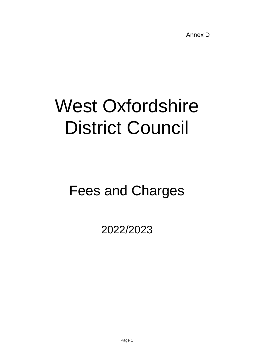Annex D

# West Oxfordshire District Council

## Fees and Charges

2022/2023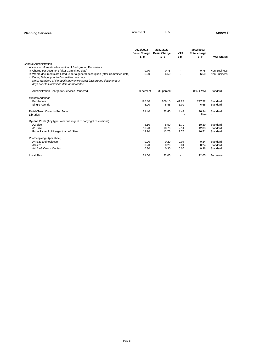| <b>Planning Services</b>                                                                                                                                                                                                                                                                              | 1.050<br>Increase %                    |                                        |                          |                                        |                                  |  |  |  |  |  |  |  |  |  |  |  |  |  |  |  | Annex D |
|-------------------------------------------------------------------------------------------------------------------------------------------------------------------------------------------------------------------------------------------------------------------------------------------------------|----------------------------------------|----------------------------------------|--------------------------|----------------------------------------|----------------------------------|--|--|--|--|--|--|--|--|--|--|--|--|--|--|--|---------|
|                                                                                                                                                                                                                                                                                                       | 2021/2022<br><b>Basic Charge</b><br>£p | 2022/2023<br><b>Basic Charge</b><br>£p | <b>VAT</b><br>£p         | 2022/2023<br><b>Total charge</b><br>£p | <b>VAT Status</b>                |  |  |  |  |  |  |  |  |  |  |  |  |  |  |  |         |
| <b>General Administration</b><br>Access to Information/Inspection of Background Documents                                                                                                                                                                                                             |                                        |                                        |                          |                                        |                                  |  |  |  |  |  |  |  |  |  |  |  |  |  |  |  |         |
| a Charge per document (after Committee date)<br>b Where documents are listed under a general description (after Committee date)<br>c During 5 days prior to Committee date only<br>Note: Members of the public may only inspect background documents 3<br>days prior to Committee date or thereafter. | 0.70<br>6.20                           | 0.75<br>6.50                           | $\overline{\phantom{a}}$ | 0.75<br>6.50                           | Non Business<br>Non Business     |  |  |  |  |  |  |  |  |  |  |  |  |  |  |  |         |
| Administration Charge for Services Rendered                                                                                                                                                                                                                                                           | 30 percent                             | 30 percent                             |                          | $30 \% + VAT$                          | Standard                         |  |  |  |  |  |  |  |  |  |  |  |  |  |  |  |         |
| Minutes/Agendas<br>Per Annum<br>Single Agenda                                                                                                                                                                                                                                                         | 196.30<br>5.20                         | 206.10<br>5.45                         | 41.22<br>1.09            | 247.32<br>6.55                         | Standard<br>Standard             |  |  |  |  |  |  |  |  |  |  |  |  |  |  |  |         |
| Parish/Town Councils Per Annum<br>Libraries                                                                                                                                                                                                                                                           | 21.40                                  | 22.45                                  | 4.49                     | 26.94<br>Free                          | Standard<br>$\blacksquare$       |  |  |  |  |  |  |  |  |  |  |  |  |  |  |  |         |
| Dyeline Prints (Any type, with due regard to copyright restrictions)                                                                                                                                                                                                                                  |                                        |                                        |                          |                                        |                                  |  |  |  |  |  |  |  |  |  |  |  |  |  |  |  |         |
| A2 Size<br>A1 Size<br>From Paper Roll Larger than A1 Size                                                                                                                                                                                                                                             | 8.10<br>10.20<br>13.10                 | 8.50<br>10.70<br>13.75                 | 1.70<br>2.14<br>2.75     | 10.20<br>12.83<br>16.51                | Standard<br>Standard<br>Standard |  |  |  |  |  |  |  |  |  |  |  |  |  |  |  |         |
| Photocopying - (per sheet)                                                                                                                                                                                                                                                                            |                                        |                                        |                          |                                        |                                  |  |  |  |  |  |  |  |  |  |  |  |  |  |  |  |         |
| A4 size and foolscap                                                                                                                                                                                                                                                                                  | 0.20                                   | 0.20                                   | 0.04                     | 0.24                                   | Standard                         |  |  |  |  |  |  |  |  |  |  |  |  |  |  |  |         |
| A <sub>3</sub> size<br>A4 & A3 Colour Copies                                                                                                                                                                                                                                                          | 0.20<br>0.30                           | 0.20<br>0.30                           | 0.04<br>0.06             | 0.24<br>0.36                           | Standard<br>Standard             |  |  |  |  |  |  |  |  |  |  |  |  |  |  |  |         |
| Local Plan                                                                                                                                                                                                                                                                                            | 21.00                                  | 22.05                                  | $\overline{a}$           | 22.05                                  | Zero-rated                       |  |  |  |  |  |  |  |  |  |  |  |  |  |  |  |         |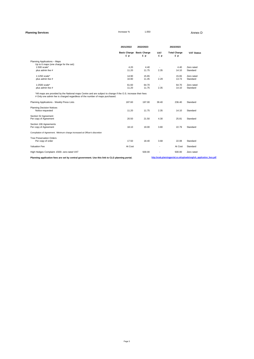| <b>Planning Services</b> | Increase % | .050 | Annex D |
|--------------------------|------------|------|---------|
|                          |            |      |         |
|                          |            |      |         |

|                                                                                                                           | 2021/2022 | 2022/2023                       | 2022/2023                |                           |                                                                       |
|---------------------------------------------------------------------------------------------------------------------------|-----------|---------------------------------|--------------------------|---------------------------|-----------------------------------------------------------------------|
|                                                                                                                           | £p        | Basic Charge Basic Charge<br>£p | <b>VAT</b><br>£p         | <b>Total Charge</b><br>£p | <b>VAT Status</b>                                                     |
| Planning Applications - Maps                                                                                              |           |                                 |                          |                           |                                                                       |
| Up to 6 maps (one charge for the set):<br>$1:500$ scale*                                                                  | 4.20      | 4.40                            |                          | 4.40                      | Zero rated                                                            |
| plus admin fee #                                                                                                          | 11.20     | 11.75                           | ٠<br>2.35                | 14.10                     | Standard                                                              |
|                                                                                                                           |           |                                 |                          |                           |                                                                       |
| 1:1250 scale*                                                                                                             | 14.90     | 15.65                           | ٠                        | 15.65                     | Zero rated                                                            |
| plus admin fee #                                                                                                          | 10.90     | 11.45                           | 2.29                     | 13.73                     | Standard                                                              |
|                                                                                                                           |           |                                 |                          |                           |                                                                       |
| 1:2500 scale*                                                                                                             | 61.60     | 64.70                           | ٠                        | 64.70                     | Zero rated                                                            |
| plus admin fee #                                                                                                          | 11.20     | 11.75                           | 2.35                     | 14.10                     | Standard                                                              |
| # Only one admin fee is charged regardless of the number of maps purchased.<br>Planning Applications - Weekly Press Lists | 187.60    | 197.00                          | 39.40                    | 236.40                    | Standard                                                              |
| <b>Planning Decision Notices</b><br>Notice requested                                                                      | 11.20     | 11.75                           | 2.35                     | 14.10                     | Standard                                                              |
| Section 52 Agreement                                                                                                      |           |                                 |                          |                           |                                                                       |
| Per copy of Agreement                                                                                                     | 20.50     | 21.50                           | 4.30                     | 25.81                     | Standard                                                              |
| Section 106 Agreements                                                                                                    |           |                                 |                          |                           |                                                                       |
| Per copy of Agreement                                                                                                     | 18.10     | 19.00                           | 3.80                     | 22.79                     | Standard                                                              |
| Compilation of Agreement. Minimum charge increased at Officer's discretion                                                |           |                                 |                          |                           |                                                                       |
| <b>Tree Preservation Orders</b>                                                                                           |           |                                 |                          |                           |                                                                       |
| Per copy of order                                                                                                         | 17.50     | 18.40                           | 3.68                     | 22.08                     | Standard                                                              |
|                                                                                                                           |           |                                 |                          |                           |                                                                       |
| Valuation Fee                                                                                                             | At Cost   |                                 | $\overline{\phantom{a}}$ | At Cost                   | Standard                                                              |
| High Hedges Complaint- £500- zero-rated VAT                                                                               |           | 500.00                          |                          | 500.00                    | Zero rated                                                            |
| Planning application fees are set by central government. Use this link to CLG planning portal.                            |           |                                 |                          |                           | http://ecab.planningportal.co.uk/uploads/english_application_fees.pdf |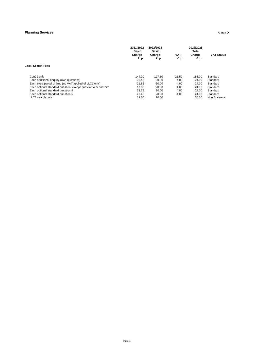#### **Planning Services** Annex D

|                                                                           | 2021/2022<br><b>Basic</b><br>Charge<br>£p | 2022/2023<br><b>Basic</b><br>Charge<br>£p | VAT<br>£p | 2022/2023<br>Total<br>Charge<br>£р | <b>VAT Status</b> |
|---------------------------------------------------------------------------|-------------------------------------------|-------------------------------------------|-----------|------------------------------------|-------------------|
| <b>Local Search Fees</b>                                                  |                                           |                                           |           |                                    |                   |
| Con29 only                                                                | 144.20                                    | 127.50                                    | 25.50     | 153.00                             | Standard          |
| Each additional enquiry (own questions)                                   | 20.45                                     | 20.00                                     | 4.00      | 24.00                              | Standard          |
| Each extra parcel of land (no VAT applied of LLC1 only)                   | 21.85                                     | 20.00                                     | 4.00      | 24.00                              | Standard          |
| Each optional standard question, except question 4, 5 and 22 <sup>*</sup> | 17.00                                     | 20.00                                     | 4.00      | 24.00                              | Standard          |
| Each optional standard question 4                                         | 22.75                                     | 20.00                                     | 4.00      | 24.00                              | Standard          |
| Each optional standard question 5                                         | 20.45                                     | 20.00                                     | 4.00      | 24.00                              | Standard          |
| LLC1 search only                                                          | 13.60                                     | 20.00                                     |           | 20.00                              | Non Business      |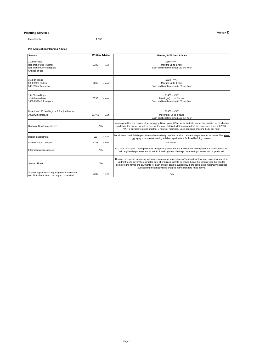#### **Planning Services** Annex D

Increase % 1.050

#### **Pre Application Planning Advice**

| <b>Service</b>                                                                                        | <b>Written Advice</b> | <b>Meeting &amp; Written Advice</b>                                                                                                                                                                                                                                                                                                                                                                       |
|-------------------------------------------------------------------------------------------------------|-----------------------|-----------------------------------------------------------------------------------------------------------------------------------------------------------------------------------------------------------------------------------------------------------------------------------------------------------------------------------------------------------------------------------------------------------|
| 1-2 dwellings<br>less than 0.5ha (outline)<br>less than 500m <sup>2</sup> floorspace<br>Change of use | £183<br>$+ VAT$       | $£366 + VAT$<br>Meeting up to 1 hour<br>Each additional meeting £183 per hour                                                                                                                                                                                                                                                                                                                             |
| 3-14 dwellings<br>0.5-0.99ha (outline)<br>500-999m <sup>2</sup> floorspace                            | £366<br>$+ VAT$       | $£733 + VAT$<br>Meeting up to 1 hour<br>Each additional meeting £183 per hour                                                                                                                                                                                                                                                                                                                             |
| 15-100 dwellings<br>1-3.0 ha (outline)<br>1000-2999m <sup>2</sup> floorspace                          | £733<br>$+ VAT$       | $£1465 + VAT$<br>Meeting(s) up to 2 hours<br>Each additional meeting £183 per hour                                                                                                                                                                                                                                                                                                                        |
| More than 100 dwellings or 3.0ha (outline) or<br>3000m2 floorspace                                    | £1.465<br>$+ VAT$     | $f2933 + VAT$<br>Meeting(s) up to 3 hours<br>Each additional meeting £183 per hour                                                                                                                                                                                                                                                                                                                        |
| Strategic Development sites.                                                                          | N/A                   | Meetings held in the context of an emerging Development Plan as an intrinsic part of the decision as to whether<br>to allocate the site or not will be free. At the point detailed site/design matters are discussed a fee of £2998 +<br>VAT is payable to cover a further 3 hours of meetings. Each additional meeting £183 per hour.                                                                    |
| Design Supplement.                                                                                    | $+ VAT$<br>£61        | For all non-Listed Building enquiries where a design input is required before a response can be made. This does<br>not apply to enquiries relating solely to applications for listed building consent.                                                                                                                                                                                                    |
| Advertisement Consent.                                                                                | $+ VAT$<br>£183       | $£244 + VAT$                                                                                                                                                                                                                                                                                                                                                                                              |
| Informal quick responses.                                                                             | N/A                   | An e-mail description of the proposals along with payment of the $E$ 30 fee will be required. An informal response<br>will be given by phone or e-mail within 3 working days of receipt. No meetings/ letters will be produced.                                                                                                                                                                           |
| Season Ticket.                                                                                        | N/A                   | Regular developers, agents or landowners may wish to negotiate a "season ticket" where, upon payment of an<br>up front fee to cover the estimated cost of enquiries likely to be made during the coming year the need to<br>complete the forms and payments for each enquiry can be avoided NB If the estimate is materially exceeded<br>subsequent meetings will be charged at the standard rates above. |
| Solicitor/agent letters requiring confirmation that<br>conditions have been discharged or satisfied.  | £183<br>$+ VAT$       | N/A                                                                                                                                                                                                                                                                                                                                                                                                       |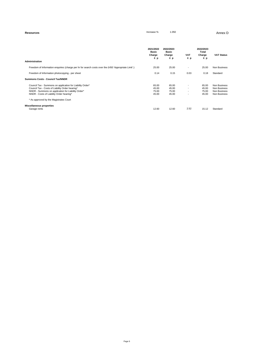| <b>Resources</b>                                                                                                                                                                                                                                         | Increase %                                | 1.050                                     |                          |                                    | Annex D                                                      |
|----------------------------------------------------------------------------------------------------------------------------------------------------------------------------------------------------------------------------------------------------------|-------------------------------------------|-------------------------------------------|--------------------------|------------------------------------|--------------------------------------------------------------|
| <b>Administration</b>                                                                                                                                                                                                                                    | 2021/2022<br><b>Basic</b><br>Charge<br>£p | 2022/2023<br><b>Basic</b><br>Charge<br>£p | VAT<br>£p                | 2022/2023<br>Total<br>Charge<br>£p | <b>VAT Status</b>                                            |
| Freedom of Information enquiries (charge per hr for search costs over the £450 'Appropriate Limit'):                                                                                                                                                     | 25.00                                     | 25.00                                     | $\overline{a}$           | 25.00                              | Non Business                                                 |
| Freedom of Information photocopying - per sheet                                                                                                                                                                                                          | 0.14                                      | 0.15                                      | 0.03                     | 0.18                               | Standard                                                     |
| <b>Summons Costs - Council Tax/NNDR</b>                                                                                                                                                                                                                  |                                           |                                           |                          |                                    |                                                              |
| Council Tax - Summons on application for Liability Order*<br>Council Tax - Costs of Liability Order hearing*<br>NNDR - Summons on application for Liability Order*<br>NNDR - Costs of Liability Order hearing*<br>* As approved by the Magistrates Court | 65.00<br>45.00<br>75.00<br>45.00          | 65.00<br>45.00<br>75.00<br>45.00          | $\overline{a}$<br>$\sim$ | 65.00<br>45.00<br>75.00<br>45.00   | Non Business<br>Non Business<br>Non Business<br>Non Business |
| <b>Miscellaneous properties</b><br>Garage rents                                                                                                                                                                                                          | 12.60                                     | 12.60                                     | 2.52                     | 15.12                              | Standard                                                     |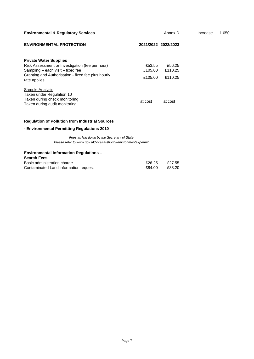| <b>Environmental &amp; Regulatory Services</b>                     |                     | Annex D | Increase | 1.050 |
|--------------------------------------------------------------------|---------------------|---------|----------|-------|
| <b>ENVIRONMENTAL PROTECTION</b>                                    | 2021/2022 2022/2023 |         |          |       |
| <b>Private Water Supplies</b>                                      |                     |         |          |       |
| Risk Assessment or Investigation (fee per hour)                    | £53.55              | £56.25  |          |       |
| Sampling – each visit – fixed fee                                  | £105.00             | £110.25 |          |       |
| Granting and Authorisation - fixed fee plus hourly<br>rate applies | £105.00             | £110.25 |          |       |
| Sample Analysis                                                    |                     |         |          |       |
| Taken under Regulation 10                                          |                     |         |          |       |
| Taken during check monitoring                                      | at cost             | at cost |          |       |
| Taken during audit monitoring                                      |                     |         |          |       |

#### **Regulation of Pollution from Industrial Sources**

#### **- Environmental Permitting Regulations 2010**

*Fees as laid down by the Secretary of State Please refer to www.gov.uk/local-authority-environmental-permit*

## **Environmental Information Regulations – Search Fees**

| Basic administration charge           | £26.25 | £27.55 |
|---------------------------------------|--------|--------|
| Contaminated Land information request | £84.00 | £88.20 |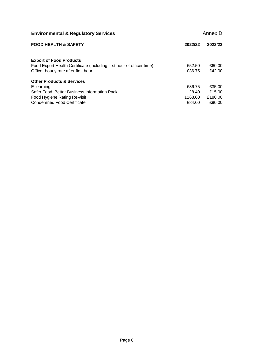| <b>Environmental &amp; Regulatory Services</b>                        |         | Annex D |
|-----------------------------------------------------------------------|---------|---------|
| <b>FOOD HEALTH &amp; SAFETY</b>                                       | 2022/22 | 2022/23 |
| <b>Export of Food Products</b>                                        |         |         |
| Food Export Health Certificate (including first hour of officer time) | £52.50  | £60.00  |
| Officer hourly rate after first hour                                  | £36.75  | £42.00  |
| <b>Other Products &amp; Services</b>                                  |         |         |
| E-learning                                                            | £36.75  | £35.00  |
| Safer Food, Better Business Information Pack                          | £8.40   | £15.00  |
| Food Hygiene Rating Re-visit                                          | £168.00 | £180.00 |
| <b>Condemned Food Certificate</b>                                     | £84.00  | £90.00  |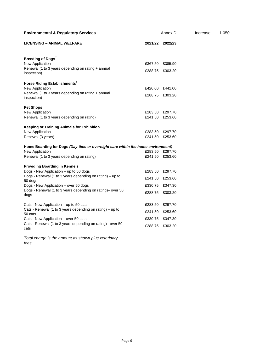| <b>Environmental &amp; Regulatory Services</b>                                  | Annex D         |                 | Increase | 1.050 |
|---------------------------------------------------------------------------------|-----------------|-----------------|----------|-------|
| <b>LICENSING - ANIMAL WELFARE</b>                                               | 2021/22         | 2022/23         |          |       |
| Breeding of Dogs <sup>1</sup>                                                   |                 |                 |          |       |
| New Application                                                                 | £367.50 £385.90 |                 |          |       |
| Renewal (1 to 3 years depending on rating + annual<br>inspection)               | £288.75 £303.20 |                 |          |       |
| Horse Riding Establishments <sup>1</sup>                                        |                 |                 |          |       |
| New Application                                                                 | £420.00 £441.00 |                 |          |       |
| Renewal (1 to 3 years depending on rating + annual<br>inspection)               | £288.75 £303.20 |                 |          |       |
| <b>Pet Shops</b>                                                                |                 |                 |          |       |
| New Application                                                                 | £283.50 £297.70 |                 |          |       |
| Renewal (1 to 3 years depending on rating)                                      | £241.50 £253.60 |                 |          |       |
| <b>Keeping or Training Animals for Exhibition</b>                               |                 |                 |          |       |
| New Application                                                                 | £283.50 £297.70 |                 |          |       |
| Renewal (3 years)                                                               | £241.50 £253.60 |                 |          |       |
| Home Boarding for Dogs (Day-time or overnight care within the home environment) |                 |                 |          |       |
| New Application                                                                 | £283.50 £297.70 |                 |          |       |
| Renewal (1 to 3 years depending on rating)                                      | £241.50 £253.60 |                 |          |       |
| <b>Providing Boarding in Kennels</b>                                            |                 |                 |          |       |
| Dogs - New Application - up to 50 dogs                                          | £283.50 £297.70 |                 |          |       |
| Dogs - Renewal (1 to 3 years depending on rating) - up to<br>50 dogs            | £241.50 £253.60 |                 |          |       |
| Dogs - New Application - over 50 dogs                                           | £330.75 £347.30 |                 |          |       |
| Dogs - Renewal (1 to 3 years depending on rating) – over 50<br>dogs             |                 | £288.75 £303.20 |          |       |
| Cats - New Application – up to 50 cats                                          | £283.50         | £297.70         |          |       |
| Cats - Renewal (1 to 3 years depending on rating) - up to                       | £241.50 £253.60 |                 |          |       |
| 50 cats<br>Cats - New Application – over 50 cats                                | £330.75 £347.30 |                 |          |       |
| Cats - Renewal (1 to 3 years depending on rating)- over 50                      |                 |                 |          |       |
| cats                                                                            | £288.75 £303.20 |                 |          |       |
| Total charge is the amount as shown plus veterinary                             |                 |                 |          |       |

*fees*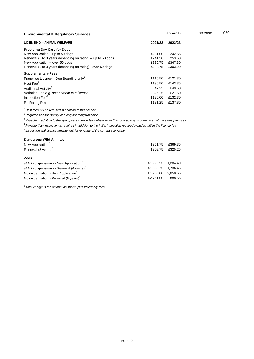| <b>Environmental &amp; Regulatory Services</b>             | Annex D |         | Increase | 1.050 |
|------------------------------------------------------------|---------|---------|----------|-------|
| <b>LICENSING - ANIMAL WELFARE</b>                          | 2021/22 | 2022/23 |          |       |
| <b>Providing Day Care for Dogs</b>                         |         |         |          |       |
| New Application $-$ up to 50 dogs                          | £231.00 | £242.55 |          |       |
| Renewal (1 to 3 years depending on rating) – up to 50 dogs | £241.50 | £253.60 |          |       |
| New Application – over 50 dogs                             | £330.75 | £347.30 |          |       |
| Renewal (1 to 3 years depending on rating) – over 50 dogs  | £288.75 | £303.20 |          |       |
| <b>Supplementary Fees</b>                                  |         |         |          |       |
| Franchise Licence - Dog Boarding only <sup>1</sup>         | £115.50 | £121.30 |          |       |
| Host Fee <sup>2</sup>                                      | £136.50 | £143.35 |          |       |
| Additional Activity <sup>3</sup>                           | £47.25  | £49.60  |          |       |
| Variation Fee e.g. amendment to a licence                  | £26.25  | £27.60  |          |       |
| Inspection Fee <sup>4</sup>                                | £126.00 | £132.30 |          |       |
| Re-Rating Fee <sup>5</sup>                                 | £131.25 | £137.80 |          |       |

*<sup>1</sup> Host fees will be required in addition to this licence*

*<sup>2</sup> Required per host family of a dog boarding franchise*

*<sup>3</sup> Payable in addition to the appropriate licence fees where more than one activity is undertaken at the same premises*

*<sup>4</sup> Payable if an inspection is required in addition to the initial inspection required included within the licence fee*

*5 Inspection and licence amendment for re-rating of the current star rating*

| £351.75 | £369.35             |
|---------|---------------------|
| £309.75 | £325.25             |
|         |                     |
|         | £1,223.25 £1,284.40 |
|         | £1.653.75 £1.736.45 |
|         | £1.953.00 £2.050.65 |
|         | £2,751.00 £2,888.55 |
|         |                     |

*1 Total charge is the amount as shown plus veterinary fees*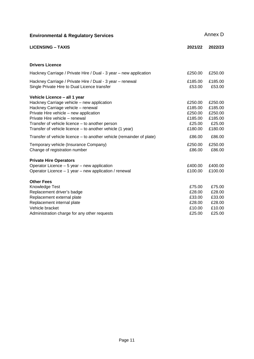| <b>Environmental &amp; Regulatory Services</b>                                                                                                                                                                                                                                                               |                                                               | Annex D                                                       |
|--------------------------------------------------------------------------------------------------------------------------------------------------------------------------------------------------------------------------------------------------------------------------------------------------------------|---------------------------------------------------------------|---------------------------------------------------------------|
| <b>LICENSING - TAXIS</b>                                                                                                                                                                                                                                                                                     | 2021/22                                                       | 2022/23                                                       |
|                                                                                                                                                                                                                                                                                                              |                                                               |                                                               |
| <b>Drivers Licence</b>                                                                                                                                                                                                                                                                                       |                                                               |                                                               |
| Hackney Carriage / Private Hire / Dual - 3 year - new application                                                                                                                                                                                                                                            | £250.00                                                       | £250.00                                                       |
| Hackney Carriage / Private Hire / Dual - 3 year - renewal<br>Single Private Hire to Dual Licence transfer                                                                                                                                                                                                    | £185.00<br>£53.00                                             | £185.00<br>£53.00                                             |
| Vehicle Licence - all 1 year<br>Hackney Carriage vehicle - new application<br>Hackney Carriage vehicle - renewal<br>Private Hire vehicle - new application<br>Private Hire vehicle - renewal<br>Transfer of vehicle licence - to another person<br>Transfer of vehicle licence – to another vehicle (1 year) | £250.00<br>£185.00<br>£250.00<br>£185.00<br>£25.00<br>£180.00 | £250.00<br>£185.00<br>£250.00<br>£185.00<br>£25.00<br>£180.00 |
| Transfer of vehicle licence - to another vehicle (remainder of plate)                                                                                                                                                                                                                                        | £86.00                                                        | £86.00                                                        |
| Temporary vehicle (Insurance Company)<br>Change of registration number                                                                                                                                                                                                                                       | £250.00<br>£86.00                                             | £250.00<br>£86.00                                             |
| <b>Private Hire Operators</b><br>Operator Licence - 5 year - new application<br>Operator Licence - 1 year - new application / renewal                                                                                                                                                                        | £400.00<br>£100.00                                            | £400.00<br>£100.00                                            |
| <b>Other Fees</b>                                                                                                                                                                                                                                                                                            |                                                               |                                                               |
| Knowledge Test<br>Replacement driver's badge                                                                                                                                                                                                                                                                 | £75.00<br>£28.00                                              | £75.00<br>£28.00                                              |
| Replacement external plate                                                                                                                                                                                                                                                                                   | £33.00                                                        | £33.00                                                        |
| Replacement internal plate                                                                                                                                                                                                                                                                                   | £28.00                                                        | £28.00                                                        |
| Vehicle bracket                                                                                                                                                                                                                                                                                              | £10.00                                                        | £10.00                                                        |
| Administration charge for any other requests                                                                                                                                                                                                                                                                 | £25.00                                                        | £25.00                                                        |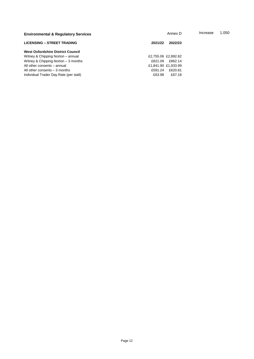| <b>Environmental &amp; Regulatory Services</b> | Annex D             | Increase | 1.050 |
|------------------------------------------------|---------------------|----------|-------|
| <b>LICENSING – STREET TRADING</b>              | 2022/23<br>2021/22  |          |       |
| <b>West Oxfordshire District Council</b>       |                     |          |       |
| Witney & Chipping Norton – annual              | £2,755.06 £2,892.82 |          |       |
| Witney & Chipping Norton $-3$ months           | £862.14<br>£821.09  |          |       |
| All other consents - annual                    | £1,841.90 £1,933.99 |          |       |
| All other consents - 3 months                  | £620.81<br>£591.24  |          |       |
| Individual Trader Day Rate (per stall)         | £63.98<br>£67.18    |          |       |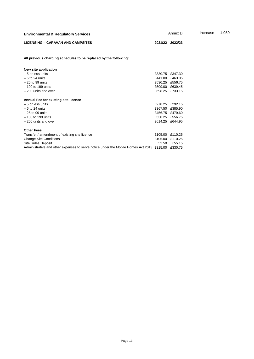| <b>Environmental &amp; Regulatory Services</b> | Annex D | Increase | 1.050 |
|------------------------------------------------|---------|----------|-------|
|                                                |         |          |       |

#### **LICENSING – CARAVAN AND CAMPSITES 2021/22 2022/23**

**All previous charging schedules to be replaced by the following:**

| New site application                                                                      |         |         |
|-------------------------------------------------------------------------------------------|---------|---------|
| $-5$ or less units                                                                        | £330.75 | £347.30 |
| $-6$ to 24 units                                                                          | £441.00 | £463.05 |
| $-25$ to 99 units                                                                         | £530.25 | £556.75 |
| $-100$ to 199 units                                                                       | £609.00 | £639.45 |
| $-200$ units and over                                                                     | £698.25 | £733.15 |
| Annual Fee for existing site licence                                                      |         |         |
| $-5$ or less units                                                                        | £278.25 | £292.15 |
| $-6$ to 24 units                                                                          | £367.50 | £385.90 |
| $-25$ to 99 units                                                                         | £456.75 | £479.60 |
| $-100$ to 199 units                                                                       | £530.25 | £556.75 |
| - 200 units and over                                                                      | £614.25 | £644.95 |
| <b>Other Fees</b>                                                                         |         |         |
| Transfer / amendment of existing site licence                                             | £105.00 | £110.25 |
| <b>Change Site Conditions</b>                                                             | £105.00 | £110.25 |
| <b>Site Rules Deposit</b>                                                                 | £52.50  | £55.15  |
| Administrative and other expenses to serve notice under the Mobile Homes Act 2013 £315.00 |         | £330.75 |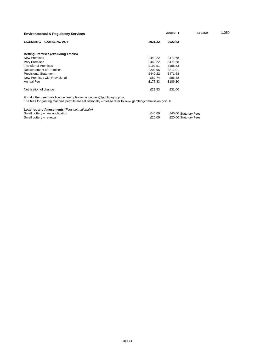| <b>Environmental &amp; Requlatory Services</b> |         | Annex D | Increase | 1.050 |
|------------------------------------------------|---------|---------|----------|-------|
| <b>LICENSING - GAMBLING ACT</b>                | 2021/22 | 2022/23 |          |       |
| <b>Betting Premises (excluding Tracks)</b>     |         |         |          |       |
| <b>New Premises</b>                            | £449.22 | £471.68 |          |       |
| Vary Premises                                  | £449.22 | £471.68 |          |       |
| <b>Transfer of Premises</b>                    | £100.51 | £105.53 |          |       |
| <b>Reinstatement of Premises</b>               | £200.96 | £211.01 |          |       |
| <b>Provisional Statement</b>                   | £449.22 | £471.68 |          |       |
| New Premises with Provisional                  | £82.74  | £86.88  |          |       |
| Annual Fee                                     | £177.33 | £186.20 |          |       |
| Notification of change                         | £29.53  | £31.00  |          |       |

For all other premises licence fees, please contact ers@publicagroup.uk.

The fees for gaming machine permits are set nationally – please refer to www.gambingcommission.gov.uk

**Lotteries and Amusements** (*Fees set nationally*)<br>
Small Lottery – new application<br>
Small Lottery – renewal

| Small Lottery - new application |  | £40.00 | £40.00 Statutory Fees |
|---------------------------------|--|--------|-----------------------|
| Small Lottery - renewal         |  | £20.00 | £20.00 Statutory Fees |
|                                 |  |        |                       |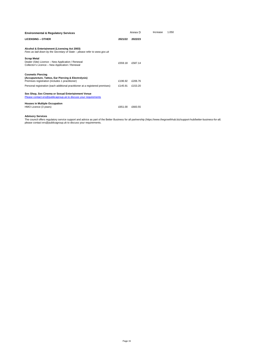| <b>Environmental &amp; Regulatory Services</b>                                                                                     |         | Annex D | Increase | 1.050 |
|------------------------------------------------------------------------------------------------------------------------------------|---------|---------|----------|-------|
| <b>LICENSING - OTHER</b>                                                                                                           | 2021/22 | 2022/23 |          |       |
| Alcohol & Entertainment (Licensing Act 2003)<br>Fees as laid down by the Secretary of State – please refer to www.gov.uk           |         |         |          |       |
| <b>Scrap Metal</b><br>Dealer (Site) Licence - New Application / Renewal<br>Collector's Licence - New Application / Renewal         | £559.18 | £587.14 |          |       |
| <b>Cosmetic Piercing</b><br>(Accupuncture, Tattoo, Ear Piercing & Electrolysis)<br>Premises registration (includes 1 practitioner) | £196.92 | £206.76 |          |       |
| Personal registration (each additional practitioner at a registered premises)                                                      | £145.91 | £153.20 |          |       |
| Sex Shop, Sex Cinema or Sexual Entertainment Venue<br>Please contact ers@publicagroup.uk to discuss your requirements              |         |         |          |       |
| <b>Houses in Multiple Occupation</b><br>HMO Licence (3 years)                                                                      | £651.00 | £683.55 |          |       |

Advisory Services<br>The council offers regulatory service support and advice as part of the Better Business for all partnership (https://www.thegrowthhub.biz/support-hub/better-business-for-all;<br>please contact ers@publicagro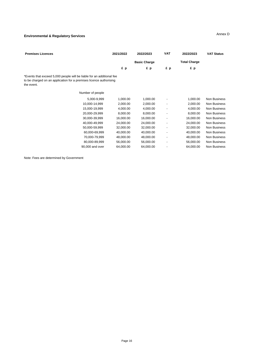#### **Environmental & Regulatory Services**

#### Annex D

| <b>Premises Licences</b>                                                                                                                                  | 2021/2022 | 2022/2023           | <b>VAT</b>                   | 2022/2023           | <b>VAT Status</b> |
|-----------------------------------------------------------------------------------------------------------------------------------------------------------|-----------|---------------------|------------------------------|---------------------|-------------------|
|                                                                                                                                                           |           | <b>Basic Charge</b> |                              | <b>Total Charge</b> |                   |
|                                                                                                                                                           | £p        | £p                  | £p                           | £p                  |                   |
| *Events that exceed 5,000 people will be liable for an additional fee<br>to be charged on an application for a premises licence authorising<br>the event. |           |                     |                              |                     |                   |
| Number of people                                                                                                                                          |           |                     |                              |                     |                   |
| 5,000-9,999                                                                                                                                               | 1,000.00  | 1,000.00            |                              | 1,000.00            | Non Business      |
| 10,000-14,999                                                                                                                                             | 2,000.00  | 2,000.00            | $\overline{\phantom{a}}$     | 2,000.00            | Non Business      |
| 15,000-19,999                                                                                                                                             | 4,000.00  | 4,000.00            | $\overline{\phantom{a}}$     | 4,000.00            | Non Business      |
| 20,000-29,999                                                                                                                                             | 8,000.00  | 8,000.00            | $\overline{\phantom{a}}$     | 8,000.00            | Non Business      |
| 30,000-39,999                                                                                                                                             | 16,000.00 | 16,000.00           | $\overline{\phantom{a}}$     | 16,000.00           | Non Business      |
| 40,000-49,999                                                                                                                                             | 24,000.00 | 24,000.00           | $\overline{\phantom{a}}$     | 24,000.00           | Non Business      |
| 50,000-59,999                                                                                                                                             | 32,000.00 | 32,000.00           | $\overline{\phantom{a}}$     | 32,000.00           | Non Business      |
| 60,000-69,999                                                                                                                                             | 40,000.00 | 40,000.00           | $\overline{\phantom{a}}$     | 40,000.00           | Non Business      |
| 70,000-79,999                                                                                                                                             | 48,000.00 | 48,000.00           | $\qquad \qquad \blacksquare$ | 48,000.00           | Non Business      |
| 80,000-89,999                                                                                                                                             | 56,000.00 | 56,000.00           | $\overline{\phantom{a}}$     | 56,000.00           | Non Business      |
| 90,000 and over                                                                                                                                           | 64,000.00 | 64,000.00           |                              | 64,000.00           | Non Business      |

Note: Fees are determined by Government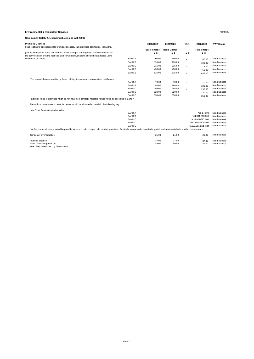#### **Environmental & Regulatory Services**

**Community Safety & Licensing (Licensing Act 2003)**

Annex D

| <b>Premises Licences</b>                                                                                                                                                           |               | 2021/2022           | 2022/2023           | <b>VAT</b> | 2022/2023           | <b>VAT Status</b>   |
|------------------------------------------------------------------------------------------------------------------------------------------------------------------------------------|---------------|---------------------|---------------------|------------|---------------------|---------------------|
| Fees relating to applications for premises licences, club premises certificates, variations,                                                                                       |               | <b>Basic Charge</b> | <b>Basic Charge</b> |            | <b>Total Charge</b> |                     |
| (but not changes of name and address etc or changes of designated premises supervisor)                                                                                             |               | £p                  | £p                  | £p         | £p                  |                     |
| the conversion of existing licences, and conversion/variations should be graduated using                                                                                           |               |                     |                     |            |                     |                     |
| five bands as shown:                                                                                                                                                               | <b>BAND A</b> | 100.00              | 100.00              | ٠          | 100.00              | Non Business        |
|                                                                                                                                                                                    | <b>BAND B</b> | 190.00              | 190.00              |            | 190.00              | Non Business        |
|                                                                                                                                                                                    | <b>BAND C</b> | 315.00              | 315.00              |            | 315.00              | <b>Non Business</b> |
|                                                                                                                                                                                    | <b>BAND D</b> | 450.00              | 450.00              |            | 450.00              | Non Business        |
|                                                                                                                                                                                    | <b>BANDE</b>  | 635.00              | 635.00              |            | 635.00              | <b>Non Business</b> |
| The annual charges payable by those holding licences and club premises certificates:                                                                                               |               |                     |                     |            |                     |                     |
|                                                                                                                                                                                    | <b>BAND A</b> | 70.00               | 70.00               | ٠          | 70.00               | <b>Non Business</b> |
|                                                                                                                                                                                    | <b>BAND B</b> | 180.00              | 180.00              |            | 180.00              | Non Business        |
|                                                                                                                                                                                    | <b>BAND C</b> | 295.00              | 295.00              |            | 295.00              | Non Business        |
|                                                                                                                                                                                    | <b>BAND D</b> | 320.00              | 320.00              |            | 320.00              | <b>Non Business</b> |
|                                                                                                                                                                                    | <b>BANDE</b>  | 350.00              | 350.00              | ٠          | 350.00              | Non Business        |
| Particular types of premises which do not have non-domestic rateable values would be allocated to Band A                                                                           |               |                     |                     |            |                     |                     |
| The various non-domestic rateable values should be allocated to bands in the following way:                                                                                        |               |                     |                     |            |                     |                     |
| Note:*Non-Domestic rateable value                                                                                                                                                  |               |                     |                     |            |                     |                     |
|                                                                                                                                                                                    | <b>BAND A</b> |                     |                     |            | *£0-£4,300          | <b>Non Business</b> |
|                                                                                                                                                                                    | <b>BAND B</b> |                     |                     |            | *£4,301-£33,000     | Non Business        |
|                                                                                                                                                                                    | <b>BAND C</b> |                     |                     |            | *£33,001-£87,000    | Non Business        |
|                                                                                                                                                                                    | <b>BAND D</b> |                     |                     |            | *£87,001-£125,000   | Non Business        |
|                                                                                                                                                                                    | <b>BANDE</b>  |                     |                     |            | *£125,001 and over  | Non Business        |
| *No fee or annual charge would be payable by church halls, chapel halls or other premises of a similar nature and village halls, parish and community halls or other premises of a |               |                     |                     |            |                     |                     |
| <b>Temporary Events Notice</b>                                                                                                                                                     |               | 21.00               | 21.00               |            | 21.00               | Non Business        |

Personal Licence 37.00 Non Business<br>Minor Variations procedure 89.00 Non Business (1990) And Discussions of the Same State of the State of the Sta<br>Note: Fees determined by Government

Page 17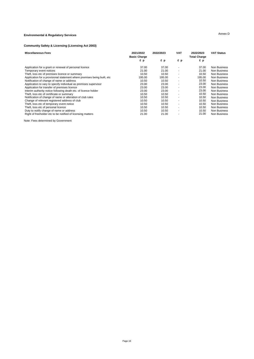## **Environmental & Regulatory Services** Annex D

#### **Community Safety & Licensing (Licensing Act 2003)**

| <b>Miscellaneous Fees</b>                                                | 2021/2022<br><b>Basic Charge</b> | 2022/2023 | <b>VAT</b>               | 2022/2023<br><b>Total Charge</b> | <b>VAT Status</b>   |
|--------------------------------------------------------------------------|----------------------------------|-----------|--------------------------|----------------------------------|---------------------|
|                                                                          | £p                               | £p        | £p                       | £p                               |                     |
| Application for a grant or renewal of personal licence                   | 37.00                            | 37.00     | ٠                        | 37.00                            | <b>Non Business</b> |
| Temporary event notices                                                  | 21.00                            | 21.00     | $\overline{\phantom{a}}$ | 21.00                            | Non Business        |
| Theft, loss etc of premises licence or summary                           | 10.50                            | 10.50     | $\overline{\phantom{a}}$ | 10.50                            | Non Business        |
| Application for a provisional statement where premises being built, etc. | 195.00                           | 195.00    | $\overline{\phantom{a}}$ | 195.00                           | <b>Non Business</b> |
| Notification of change of name or address                                | 10.50                            | 10.50     | ٠                        | 10.50                            | <b>Non Business</b> |
| Application to vary to specify individual as premises supervisor         | 23.00                            | 23.00     | $\overline{\phantom{a}}$ | 23.00                            | <b>Non Business</b> |
| Application for transfer of premises licence                             | 23.00                            | 23.00     | $\overline{\phantom{a}}$ | 23.00                            | Non Business        |
| Interim authority notice following death etc. of licence holder          | 23.00                            | 23.00     | ٠                        | 23.00                            | Non Business        |
| Theft, loss etc of certificate or summary                                | 10.50                            | 10.50     | $\overline{\phantom{a}}$ | 10.50                            | Non Business        |
| Notification of change of name or alteration of club rules               | 10.50                            | 10.50     | $\overline{\phantom{a}}$ | 10.50                            | <b>Non Business</b> |
| Change of relevant registered address of club                            | 10.50                            | 10.50     | ٠                        | 10.50                            | <b>Non Business</b> |
| Theft, loss etc of temporary event notice                                | 10.50                            | 10.50     | $\overline{\phantom{a}}$ | 10.50                            | <b>Non Business</b> |
| Theft, loss etc of personal licence                                      | 10.50                            | 10.50     | ٠                        | 10.50                            | <b>Non Business</b> |
| Duty to notify change of name or address                                 | 10.50                            | 10.50     | ۰                        | 10.50                            | Non Business        |
| Right of freeholder etc to be notified of licensing matters              | 21.00                            | 21.00     |                          | 21.00                            | <b>Non Business</b> |

Note: Fees determined by Government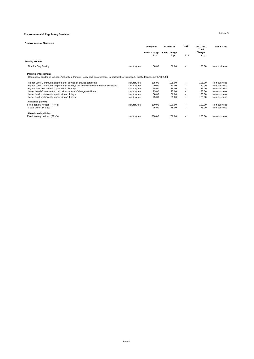## **Environmental & Regulatory Services** Annex D

| <b>Environmental Services</b>                                                                                                                                                                                                         |               | 2021/2022                 | 2022/2023                       | <b>VAT</b>               | 2022/2023             | <b>VAT Status</b>            |
|---------------------------------------------------------------------------------------------------------------------------------------------------------------------------------------------------------------------------------------|---------------|---------------------------|---------------------------------|--------------------------|-----------------------|------------------------------|
|                                                                                                                                                                                                                                       |               | <b>Basic Charge</b><br>£p | <b>Basic Charge</b><br>£p<br>£р |                          | Total<br>Charge<br>£p |                              |
| <b>Penalty Notices</b>                                                                                                                                                                                                                |               |                           |                                 |                          |                       |                              |
| Fine for Dog Fouling                                                                                                                                                                                                                  | statutory fee | 50.00                     | 50.00                           |                          | 50.00                 | Non business                 |
| <b>Parking enforcement</b><br>Operational Guidance to Local Authorities: Parking Policy and enforcement. Department for Transport. Traffic Management Act 2004<br>Higher Level Contravention paid after service of charge certificate | statutory fee | 105.00                    | 105.00                          | $\sim$                   | 105.00                | Non-business                 |
| Higher Level Contravention paid after 14 days but before service of charge certificate                                                                                                                                                | statutory fee | 70.00                     | 70.00                           |                          | 70.00                 | Non-business                 |
| Higher level contravention paid within 14 days                                                                                                                                                                                        | statutory fee | 35.00                     | 35.00                           |                          | 35.00                 | Non-business                 |
| Lower Level Contravention paid after service of charge certificate                                                                                                                                                                    | statutory fee | 75.00                     | 75.00                           |                          | 75.00                 | Non-business                 |
| Lower level contravention paid within 14 days                                                                                                                                                                                         | statutory fee | 50.00                     | 50.00                           | $\overline{\phantom{a}}$ | 50.00                 | Non-business                 |
| Lower level contravention paid within 14 days                                                                                                                                                                                         | statutory fee | 25.00                     | 25.00                           |                          | 25.00                 | Non-business                 |
| Nuisance parking<br>Fixed penalty notices (FPN's)<br>If paid within 14 days                                                                                                                                                           | statutory fee | 100.00<br>75.00           | 100.00<br>75.00                 | $\sim$                   | 100.00<br>75.00       | Non-business<br>Non-business |
| <b>Abandoned vehicles</b><br>Fixed penalty notices (FPN's)                                                                                                                                                                            | statutory fee | 200.00                    | 200.00                          |                          | 200.00                | Non-business                 |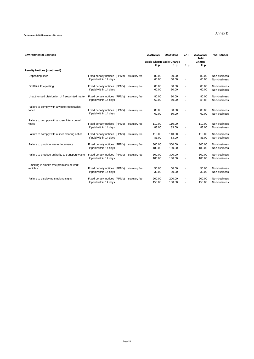## **Environmental & Regulatory Services** Annex D

| <b>Environmental Services</b>                            |                                                         |               | 2021/2022<br>2022/2023           |                  | <b>VAT</b>                                           | 2022/2023<br><b>Total</b> | <b>VAT Status</b>            |  |
|----------------------------------------------------------|---------------------------------------------------------|---------------|----------------------------------|------------------|------------------------------------------------------|---------------------------|------------------------------|--|
|                                                          |                                                         |               | <b>Basic Charge Basic Charge</b> |                  |                                                      | Charge                    |                              |  |
|                                                          |                                                         |               | £р                               | £p               | £p                                                   | £p                        |                              |  |
| <b>Penalty Notices (continued)</b>                       |                                                         |               |                                  |                  |                                                      |                           |                              |  |
| Depositing litter                                        | Fixed penalty notices (FPN's)<br>If paid within 14 days | statutory fee | 80.00<br>60.00                   | 80.00<br>60.00   |                                                      | 80.00<br>60.00            | Non-business<br>Non-business |  |
| Graffiti & Fly-posting                                   | Fixed penalty notices (FPN's)<br>If paid within 14 days | statutory fee | 80.00<br>60.00                   | 80.00<br>60.00   | $\overline{\phantom{a}}$                             | 80.00<br>60.00            | Non-business<br>Non-business |  |
| Unauthorised distribution of free printed matter         | Fixed penalty notices (FPN's)<br>If paid within 14 days | statutory fee | 80.00<br>60.00                   | 80.00<br>60.00   | $\overline{\phantom{a}}$                             | 80.00<br>60.00            | Non-business<br>Non-business |  |
| Failure to comply with a waste receptacles<br>notice     | Fixed penalty notices (FPN's)<br>If paid within 14 days | statutory fee | 80.00<br>60.00                   | 80.00<br>60.00   | $\overline{\phantom{a}}$                             | 80.00<br>60.00            | Non-business<br>Non-business |  |
| Failure to comply with a street litter control<br>notice | Fixed penalty notices (FPN's)<br>If paid within 14 days | statutory fee | 110.00<br>83.00                  | 110.00<br>83.00  |                                                      | 110.00<br>83.00           | Non-business<br>Non-business |  |
| Failure to comply with a litter clearing notice          | Fixed penalty notices (FPN's)<br>If paid within 14 days | statutory fee | 110.00<br>83.00                  | 110.00<br>83.00  | $\blacksquare$                                       | 110.00<br>83.00           | Non-business<br>Non-business |  |
| Failure to produce waste documents                       | Fixed penalty notices (FPN's)<br>If paid within 14 days | statutory fee | 300.00<br>180.00                 | 300.00<br>180.00 | $\blacksquare$<br>$\overline{\phantom{a}}$           | 300.00<br>180.00          | Non-business<br>Non-business |  |
| Failure to produce authority to transport waste          | Fixed penalty notices (FPN's)<br>If paid within 14 days | statutory fee | 300.00<br>180.00                 | 300.00<br>180.00 | $\overline{\phantom{a}}$                             | 300.00<br>180.00          | Non-business<br>Non-business |  |
| Smoking in smoke free premises or work<br>vehicles       | Fixed penalty notices (FPN's)<br>If paid within 14 days | statutory fee | 50.00<br>30.00                   | 50.00<br>30.00   | $\overline{\phantom{a}}$<br>$\overline{\phantom{a}}$ | 50.00<br>30.00            | Non-business<br>Non-business |  |
| Failure to display no smoking signs                      | Fixed penalty notices (FPN's)<br>If paid within 14 days | statutory fee | 200.00<br>150.00                 | 200.00<br>150.00 | $\overline{a}$                                       | 200.00<br>150.00          | Non-business<br>Non-business |  |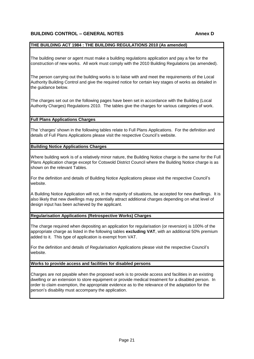## **BUILDING CONTROL – GENERAL NOTES AND REALLY AND A LOCAL AND ANNEX D**

#### **THE BUILDING ACT 1984 : THE BUILDING REGULATIONS 2010 (As amended)**

The building owner or agent must make a building regulations application and pay a fee for the construction of new works. All work must comply with the 2010 Building Regulations (as amended).

The person carrying out the building works is to liaise with and meet the requirements of the Local Authority Building Control and give the required notice for certain key stages of works as detailed in the quidance below.

The charges set out on the following pages have been set in accordance with the Building (Local Authority Charges) Regulations 2010. The tables give the charges for various categories of work.

#### **Full Plans Applications Charges**

The 'charges' shown in the following tables relate to Full Plans Applications. For the definition and details of Full Plans Applications please visit the respective Council's website.

#### **Building Notice Applications Charges**

Where building work is of a relatively minor nature, the Building Notice charge is the same for the Full Plans Application charge except for Cotswold District Council where the Building Notice charge is as shown on the relevant Tables.

For the definition and details of Building Notice Applications please visit the respective Council's website.

A Building Notice Application will not, in the majority of situations, be accepted for new dwellings. It is also likely that new dwellings may potentially attract additional charges depending on what level of design input has been achieved by the applicant.

#### **Regularisation Applications (Retrospective Works) Charges**

The charge required when depositing an application for regularisation (or reversion) is 100% of the appropriate charge as listed in the following tables **excluding VAT**, with an additional 50% premium added to it. This type of application is exempt from VAT.

For the definition and details of Regularisation Applications please visit the respective Council's website.

#### **Works to provide access and facilities for disabled persons**

Charges are not payable when the proposed work is to provide access and facilities in an existing dwelling or an extension to store equipment or provide medical treatment for a disabled person. In order to claim exemption, the appropriate evidence as to the relevance of the adaptation for the person's disability must accompany the application.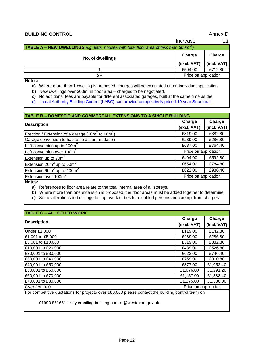## **BUILDING CONTROL**

Annex D

|                                                                                                        | Increase             |             |  |  |  |
|--------------------------------------------------------------------------------------------------------|----------------------|-------------|--|--|--|
| <b>TABLE A – NEW DWELLINGS</b> e.g. flats, houses with total floor area of less than 300m <sup>2</sup> |                      |             |  |  |  |
| No. of dwellings                                                                                       | Charge               | Charge      |  |  |  |
|                                                                                                        | (excl. VAT)          | (incl. VAT) |  |  |  |
|                                                                                                        | £594.00              | £712.80     |  |  |  |
|                                                                                                        | Price on application |             |  |  |  |

**Notes:**

**a)** Where more than 1 dwelling is proposed, charges will be calculated on an individual application

**b)** New dwellings over  $300m^2$  in floor area – charges to be negotiated.

**c)** No additional fees are payable for different associated garages, built at the same time as the

[d\) Local Authority Building Control \(LABC\) can provide competitively priced](http://www.labcwarranty.co.uk/) 10 year Structural

| <b>TABLE B - DOMESTIC AND COMMERCIAL EXTENSIONS TO A SINGLE BUILDING</b> |                       |                       |  |  |  |
|--------------------------------------------------------------------------|-----------------------|-----------------------|--|--|--|
| <b>Description</b>                                                       | Charge<br>(excl. VAT) | Charge<br>(incl. VAT) |  |  |  |
| Erection / Extension of a garage (30 $m2$ to 60 $m2$ )                   | £319.00               | £382.80               |  |  |  |
| Garage conversion to habitable accommodation                             | £239.00               | £286.80               |  |  |  |
| Loft conversion up to 100m <sup>2</sup>                                  | £637.00               | £764.40               |  |  |  |
| Loft conversion over 100m <sup>2</sup>                                   | Price on application  |                       |  |  |  |
| Extension up to $20m^2$                                                  | £494.00               | £592.80               |  |  |  |
| Extension $20m^2$ up to $60m^2$                                          | £654.00               | £784.80               |  |  |  |
| Extension $60m^2$ up to $100m^2$                                         | £822.00               | £986.40               |  |  |  |
| Extension over 100m <sup>2</sup>                                         | Price on application  |                       |  |  |  |

**Notes:**

**a)** References to floor area relate to the total internal area of all storeys.

**b)** Where more than one extension is proposed, the floor areas must be added together to determine

**c)** Some alterations to buildings to improve facilities for disabled persons are exempt from charges.

| <b>TABLE C - ALL OTHER WORK</b> |                      |             |
|---------------------------------|----------------------|-------------|
| <b>Description</b>              | Charge               | Charge      |
|                                 | (excl. VAT)          | (incl. VAT) |
| <b>Under £1,000</b>             | £119.00              | £142.80     |
| £1,001 to £5,000                | £239.00              | £286.80     |
| £5,001 to £10,000               | £319.00              | £382.80     |
| £10,001 to £20,000              | £439.00              | £526.80     |
| £20,001 to £30,000              | £622.00              | £746.40     |
| £30,001 to £40,000              | £759.00              | £910.80     |
| £40,001 to £50,000              | £877.00              | £1,052.40   |
| £50,001 to £60,000              | £1,076.00            | £1,291.20   |
| £60,001 to £70,000              | £1,157.00            | £1,388.40   |
| £70,001 to £80,000              | £1,275.00            | £1,530.00   |
| Over £80,000                    | Price on application |             |

For competitive quotations for projects over £80,000 please contact the building control team on

01993 861651 or by emailing building.control@westoxon.gov.uk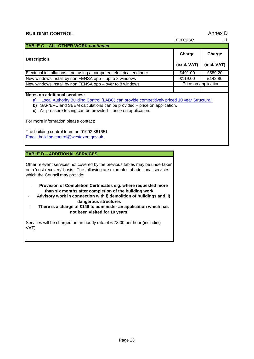| <b>BUILDING CONTROL</b>                                                                                                                                                                                                                                                                 |             | Annex D              |  |  |  |  |
|-----------------------------------------------------------------------------------------------------------------------------------------------------------------------------------------------------------------------------------------------------------------------------------------|-------------|----------------------|--|--|--|--|
|                                                                                                                                                                                                                                                                                         | Increase    | 1.1                  |  |  |  |  |
| <b>TABLE C - ALL OTHER WORK continued</b>                                                                                                                                                                                                                                               |             |                      |  |  |  |  |
|                                                                                                                                                                                                                                                                                         | Charge      | Charge               |  |  |  |  |
| <b>Description</b>                                                                                                                                                                                                                                                                      | (excl. VAT) | (incl. VAT)          |  |  |  |  |
| Electrical installations if not using a competent electrical engineer                                                                                                                                                                                                                   | £491.00     | £589.20              |  |  |  |  |
| New windows install by non FENSA opp – up to 8 windows                                                                                                                                                                                                                                  | £119.00     | £142.80              |  |  |  |  |
| New windows install by non FENSA opp – over to 8 windows                                                                                                                                                                                                                                |             | Price on application |  |  |  |  |
| Notes on additional services:<br>Local Authority Building Control (LABC) can provide competitively priced 10 year Structural<br>a)<br>SAP/EPC and SBEM calculations can be provided – price on application.<br>b)<br>Air pressure testing can be provided – price on application.<br>C) |             |                      |  |  |  |  |
| For more information please contact:                                                                                                                                                                                                                                                    |             |                      |  |  |  |  |
| $\Gamma$ ho building control toom on 01002.861651                                                                                                                                                                                                                                       |             |                      |  |  |  |  |

The building control team on 01993 861651 [Email: building.control@westoxon.gov.uk](mailto:building.control@westoxon.gov.uk) 

## **TABLE D – ADDITIONAL SERVICES**

Other relevant services not covered by the previous tables may be undertaken on a 'cost recovery' basis. The following are examples of additional services which the Council may provide:

- · **Provision of Completion Certificates e.g. where requested more than six months after completion of the building work**
- · **Advisory work in connection with i) demolition of buildings and ii) dangerous structures**
- · **There is a charge of £146 to administer an application which has not been visited for 10 years.**

Services will be charged on an hourly rate of £ 73.00 per hour (including VAT).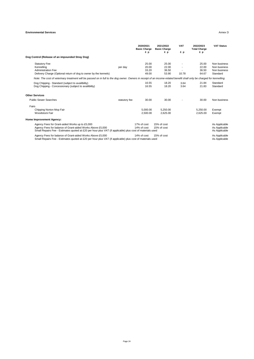#### **Environmental Services** Annex D

|                                                                                                                                                                                                                          |               | 2020/2021<br><b>Basic Charge</b><br>£р | 2021/2022<br><b>Basic Charge</b><br>£p | <b>VAT</b><br>£p | 2022/2023<br><b>Total Charge</b><br>£р | <b>VAT Status</b>                                        |
|--------------------------------------------------------------------------------------------------------------------------------------------------------------------------------------------------------------------------|---------------|----------------------------------------|----------------------------------------|------------------|----------------------------------------|----------------------------------------------------------|
| Dog Control (Release of an impounded Stray Dog)                                                                                                                                                                          |               |                                        |                                        |                  |                                        |                                                          |
| <b>Statutory Fee</b><br>Kennelling<br><b>Administration Fee</b><br>Delivery Charge (Optional return of dog to owner by the kennels)                                                                                      | per day       | 25.00<br>20.00<br>33.20<br>49.00       | 25.00<br>22.00<br>36.50<br>53.90       | 10.78            | 25.00<br>22.00<br>36.50<br>64.67       | Non business<br>Non business<br>Non business<br>Standard |
| Note: The cost of veterinary treatment will be passed on in full to the dog owner. Owners in receipt of an income-related benefit shall only be charged for kennelling                                                   |               |                                        |                                        |                  |                                        |                                                          |
| Dog Chipping - Standard (subject to availibility)<br>Dog Chipping - Concessionary (subject to availibility)                                                                                                              |               | 16.55<br>16.55                         | 18.20<br>18.20                         | 3.64<br>3.64     | 21.84<br>21.83                         | Standard<br>Standard                                     |
| <b>Other Services</b>                                                                                                                                                                                                    |               |                                        |                                        |                  |                                        |                                                          |
| <b>Public Sewer Searches</b>                                                                                                                                                                                             | statutory fee | 30.00                                  | 30.00                                  |                  | 30.00                                  | Non business                                             |
| Fairs                                                                                                                                                                                                                    |               |                                        |                                        |                  |                                        |                                                          |
| Chipping Norton Mop Fair<br>Woodstock Fair                                                                                                                                                                               |               | 5.000.00<br>2.500.00                   | 5.250.00<br>2.625.00                   |                  | 5,250.00<br>2,625.00                   | Exempt<br>Exempt                                         |
| <b>Home Improvement Agency:</b>                                                                                                                                                                                          |               |                                        |                                        |                  |                                        |                                                          |
| Agency Fees for Grant-aided Works up to £5,000<br>Agency Fees for balance of Grant-aided Works Above £5,000<br>Small Repairs Fee - Estimates quoted at £20 per hour plus VAT (if applicable) plus cost of materials used |               | 17% of cost<br>14% of cost             | 15% of cost<br>15% of cost             |                  |                                        | As Applicable<br>As Applicable<br>As Applicable          |
| Agency Fees for balance of Grant-aided Works Above £5,000<br>Small Repairs Fee - Estimates quoted at £20 per hour plus VAT (if applicable) plus cost of materials used                                                   |               | 14% of cost                            | 15% of cost                            |                  |                                        | As Applicable<br>As Applicable                           |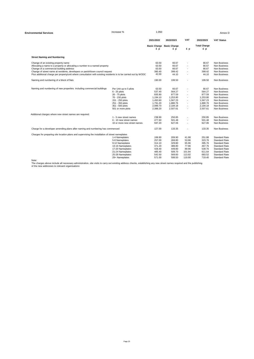| <b>Environmental Services</b>                                                                                    | Increase %                  | 1.050                     |                           |            |                           | Annex D              |
|------------------------------------------------------------------------------------------------------------------|-----------------------------|---------------------------|---------------------------|------------|---------------------------|----------------------|
|                                                                                                                  |                             | 2021/2022                 | 2022/2023                 | <b>VAT</b> | 2022/2023                 | <b>VAT Status</b>    |
|                                                                                                                  |                             | <b>Basic Charge</b><br>£p | <b>Basic Charge</b><br>£p | £p         | <b>Total Charge</b><br>£p |                      |
| <b>Street Naming and Numbering</b>                                                                               |                             |                           |                           |            |                           |                      |
| Change of an existing property name                                                                              |                             | 63.50                     | 66.67                     |            | 66.67                     | Non Business         |
| Allocating a name to a property or allocating a number to a named property                                       |                             | 63.50                     | 66.67                     |            | 66.67                     | Non Business         |
| Change of a commercial building address                                                                          |                             | 63.50                     | 66.67                     |            | 66.67                     | Non Business         |
| Change of street name at residents, developers or parish/town council request                                    |                             | 380.40                    | 399.42                    |            | 399.42                    | Non Business         |
| Plus additional charge per property/unit where consultation with existing residents is to be carried out by WODC |                             | 42.00                     | 44.10                     | ÷.         | 44.10                     | Non Business         |
| Naming and numbering of a block of flats                                                                         |                             | 190.00                    | 199.50                    |            | 199.50                    | Non Business         |
| Naming and numbering of new properties including commercial buildings                                            | Per Unit up to 5 plots      | 63.50                     | 66.67                     |            | 66.67                     | Non Business         |
|                                                                                                                  | $6 - 25$ plots              | 537.40                    | 564.27                    |            | 564.27                    | Non Business         |
|                                                                                                                  | 26 - 75 plots               | 835.80                    | 877.59                    |            | 877.59                    | Non Business         |
|                                                                                                                  | 76 - 150 plots              | 1,194.10                  | 1.253.80                  |            | 1,253.80                  | Non Business         |
|                                                                                                                  | 151 - 250 plots             | 1,492.60                  | 1,567.23                  | ÷.         | 1,567.23                  | Non Business         |
|                                                                                                                  | 251 - 350 plots             | 1,791.20                  | 1,880.76                  | ä,         | 1,880.76                  | Non Business         |
|                                                                                                                  | 351 - 500 plots             | 2,089.70                  | 2,194.18                  |            | 2,194.18                  | Non Business         |
|                                                                                                                  | 501 or more plots           | 2,388.20                  | 2,507.61                  | ٠          | 2,507.61                  | Non Business         |
| Additional charges where new street names are required:                                                          |                             |                           |                           |            |                           |                      |
|                                                                                                                  | 1 - 5 new street names      | 238.90                    | 250.85                    |            | 250.85                    | Non Business         |
|                                                                                                                  | 6 - 10 new street names     | 477.60                    | 501.48                    |            | 501.48                    | Non Business         |
|                                                                                                                  | 10 or more new street names | 597.20                    | 627.06                    |            | 627.06                    | Non Business         |
| Charge for a developer amending plans after naming and numbering has commenced                                   |                             | 127.00                    | 133.35                    |            | 133.35                    | Non Business         |
| Charges for preparing site location plans and supervising the installation of street nameplates                  |                             |                           |                           |            |                           |                      |
|                                                                                                                  | 1-4 Nameplates              | 199.90                    | 209.90                    | 41.98      | 251.88                    | <b>Standard Rate</b> |
|                                                                                                                  | 5-8 Nameplates              | 257.00                    | 269.80                    | 53.96      | 323.76                    | <b>Standard Rate</b> |
|                                                                                                                  | 9-12 Nameplates             | 314.10                    | 329.80                    | 65.96      | 395.76                    | <b>Standard Rate</b> |
|                                                                                                                  | 13-16 Nameplates            | 371.20                    | 389.80                    | 77.96      | 467.76                    | <b>Standard Rate</b> |
|                                                                                                                  | 17-20 Nameplates            | 428.40                    | 449.80                    | 89.96      | 539.76                    | <b>Standard Rate</b> |
|                                                                                                                  | 21-24 Nameplates            | 485.40                    | 509.70                    | 101.94     | 611.64                    | <b>Standard Rate</b> |
|                                                                                                                  | 25-28 Nameplates            | 542.50                    | 569.60                    | 113.92     | 683.52                    | <b>Standard Rate</b> |
|                                                                                                                  | 29+ Nameplates              | 571.00                    | 599.50                    | 119.90     | 719.40                    | Standard Rate        |

29+ Nameplates 571.00 599.50 119.90 719.40 Standard Rate<br>The charges above include all necessary administration, site visits to carry out existing address checks, establishing any new street names required and the publishi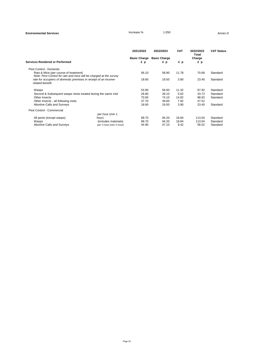| <b>Environmental Services</b>                                                                               |                             | Increase %                | 1.050                     |            |                    | Annex D           |
|-------------------------------------------------------------------------------------------------------------|-----------------------------|---------------------------|---------------------------|------------|--------------------|-------------------|
|                                                                                                             |                             | 2021/2022                 | 2022/2023                 | <b>VAT</b> | 2022/2023<br>Total | <b>VAT Status</b> |
| <b>Services Rendered or Performed</b>                                                                       |                             | <b>Basic Charge</b><br>£p | <b>Basic Charge</b><br>£р | £p         | Charge<br>£p       |                   |
| Pest Control - Domestic                                                                                     |                             |                           |                           |            |                    |                   |
| Rats & Mice (per course of treatment)<br>Note: Pest Control for rats and mice will be charged at the survey |                             | 56.10                     | 58.90                     | 11.78      | 70.68              | Standard          |
| rate for occupiers of domestic premises in receipt of an income-<br>related benefit                         |                             | 18.60                     | 19.50                     | 3.90       | 23.40              | Standard          |
| Wasps                                                                                                       |                             | 53.90                     | 56.60                     | 11.32      | 67.92              | Standard          |
| Second & Subsequent wasps nests treated during the same visit                                               |                             | 26.80                     | 28.10                     | 5.62       | 33.72              | Standard          |
| Other Insects                                                                                               |                             | 70.60                     | 74.10                     | 14.82      | 88.92              | Standard          |
| Other Insects - all following visits                                                                        |                             | 37.70                     | 39.60                     | 7.92       | 47.52              |                   |
| Abortive Calls and Surveys                                                                                  |                             | 18.60                     | 19.50                     | 3.90       | 23.40              | Standard          |
| Pest Control - Commercial                                                                                   |                             |                           |                           |            |                    |                   |
|                                                                                                             | per hour (min 1             |                           |                           |            |                    |                   |
| All pests (except wasps)                                                                                    | hour)                       | 89.70                     | 94.20                     | 18.84      | 113.04             | Standard          |
| Wasps                                                                                                       | (includes materials)        | 89.70                     | 94.20                     | 18.84      | 113.04             | Standard          |
| <b>Abortive Calls and Surveys</b>                                                                           | per 1/2 hour (min 1/2 hour) | 44.90                     | 47.10                     | 9.42       | 56.52              | Standard          |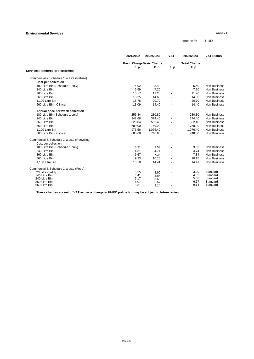#### **Environmental Services** Annex D

Increase % 1.100

|                                           | 2021/2022 | 2022/2023                       | <b>VAT</b>               | 2022/2023           | <b>VAT Status</b>    |
|-------------------------------------------|-----------|---------------------------------|--------------------------|---------------------|----------------------|
|                                           |           | <b>Basic ChargeBasic Charge</b> |                          | <b>Total Charge</b> |                      |
|                                           | £p        | £p                              | £p                       | £p                  |                      |
| <b>Services Rendered or Performed</b>     |           |                                 |                          |                     |                      |
| Commercial & Schedule 1 Waste (Refuse)    |           |                                 |                          |                     |                      |
| <b>Cost per collection</b>                |           |                                 |                          |                     |                      |
| 180 Litre Bin (Schedule 1 only)           | 4.92      | 5.40                            | $\overline{\phantom{m}}$ | 5.40                | <b>Non Business</b>  |
| 240 Litre Bin                             | 6.59      | 7.20                            |                          | 7.20                | Non Business         |
| 360 Litre Bin                             | 10.17     | 11.20                           |                          | 11.20               | <b>Non Business</b>  |
| 660 Litre Bin                             | 13.25     | 14.60                           |                          | 14.60               | <b>Non Business</b>  |
| 1,100 Litre Bin                           | 18.78     | 20.70                           | $\overline{\phantom{a}}$ | 20.70               | <b>Non Business</b>  |
| 660 Litre Bin - Clinical                  | 13.09     | 14.40                           | $\overline{a}$           | 14.40               | <b>Non Business</b>  |
| Annual once per week collection           |           |                                 |                          |                     |                      |
| 180 Litre Bin (Schedule 1 only)           | 255.84    | 280.80                          |                          | 280.80              | <b>Non Business</b>  |
| 240 Litre Bin                             | 342.68    | 374.40                          | $\overline{a}$           | 374.40              | <b>Non Business</b>  |
| 360 Litre Bin                             | 528.84    | 582.40                          | $\overline{\phantom{a}}$ | 582.40              | <b>Non Business</b>  |
| 660 Litre Bin                             | 689.00    | 759.20                          | $\blacksquare$           | 759.20              | <b>Non Business</b>  |
| 1,100 Litre Bin                           | 976.56    | 1,076.40                        | $\blacksquare$           | 1,076.40            | <b>Non Business</b>  |
| 660 Litre Bin - Clinical                  | 680.68    | 748.80                          | $\overline{a}$           | 748.80              | <b>Non Business</b>  |
| Commercial & Schedule 1 Waste (Recycling) |           |                                 |                          |                     |                      |
| Cost per collection                       |           |                                 |                          |                     |                      |
| 180 Litre Bin (Schedule 1 only)           | 3.21      | 3.53                            | $\overline{\phantom{a}}$ | 3.53                | <b>Non Business</b>  |
| 240 Litre Bin                             | 4.31      | 4.74                            | $\overline{\phantom{a}}$ | 4.74                | <b>Non Business</b>  |
| 360 Litre Bin                             | 6.67      | 7.34                            | $\blacksquare$           | 7.34                | <b>Non Business</b>  |
| 660 Litre Bin                             | 9.23      | 10.15                           |                          | 10.15               | <b>Non Business</b>  |
| 1,100 Litre Bin                           | 13.10     | 14.41                           |                          | 14.41               | <b>Non Business</b>  |
| Commercial & Schedule 1 Waste (Food)      |           |                                 |                          |                     |                      |
| 23 Litre Caddv                            | 3.55      | 3.90                            | $\overline{\phantom{a}}$ | 3.90                | Standard             |
| 140 Litre Bin                             | 4.41      | 4.85                            | $\overline{a}$           | 4.85                | Standard             |
| 240 Litre Bin                             | 5.17      | 5.68                            |                          | 5.68                | Standard             |
| 360 Litre Bin                             | 6.07      | 6.67                            |                          | 6.67<br>9.14        | Standard<br>Standard |
| 660 Litre Bin                             | 8.31      | 9.14                            |                          |                     |                      |

**These charges are net of VAT as per a change in HMRC policy but may be subject to future review**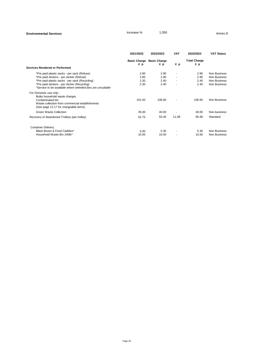## **Environmental Services Increase %** 1.050 Annex D

|                                                                                                                                                                          | 2021/2022                 | 2022/2023                 | <b>VAT</b> | 2022/2023                 | <b>VAT Status</b>                   |
|--------------------------------------------------------------------------------------------------------------------------------------------------------------------------|---------------------------|---------------------------|------------|---------------------------|-------------------------------------|
| <b>Services Rendered or Performed</b>                                                                                                                                    | <b>Basic Charge</b><br>£p | <b>Basic Charge</b><br>£p | £p         | <b>Total Charge</b><br>£p |                                     |
|                                                                                                                                                                          |                           |                           |            |                           |                                     |
| *Pre paid plastic sacks - per sack (Refuse)                                                                                                                              | 2.80                      | 2.90                      |            | 2.90                      | Non Business                        |
| *Pre paid stickers - per sticker (Refuse)                                                                                                                                | 2.80                      | 2.90                      |            | 2.90                      | Non Business                        |
| *Pre paid plastic sacks - per sack (Recycling)                                                                                                                           | 2.30                      | 2.40                      |            | 2.40                      | Non Business                        |
| *Pre paid stickers - per sticker (Recycling)<br>*Service to be available where wheeled bins are unsuitable                                                               | 2.30                      | 2.40                      |            | 2.40                      | Non Business                        |
| For Domestic use only:-<br>Bulky household waste charges<br>Contaminated bin<br>Waste collection from commercial establishments<br>(See page 12.17 for chargeable items) | 101.50                    | 106.60                    |            | 106.60                    | Non Business                        |
| Green Waste Collection                                                                                                                                                   | 35.00                     | 40.00                     |            | 40.00                     | Non-business                        |
| Recovery of Abandoned Trolleys (per trolley)                                                                                                                             | 52.75                     | 55.40                     | 11.08      | 66.48                     | Standard                            |
| <b>Container Delivery</b><br>Black Boxes & Food Caddies*<br>Household Waste Bin 240ltr*                                                                                  | 5.00<br>10.00             | 5.30<br>10.50             |            | 5.30<br>10.50             | Non Business<br><b>Non Business</b> |